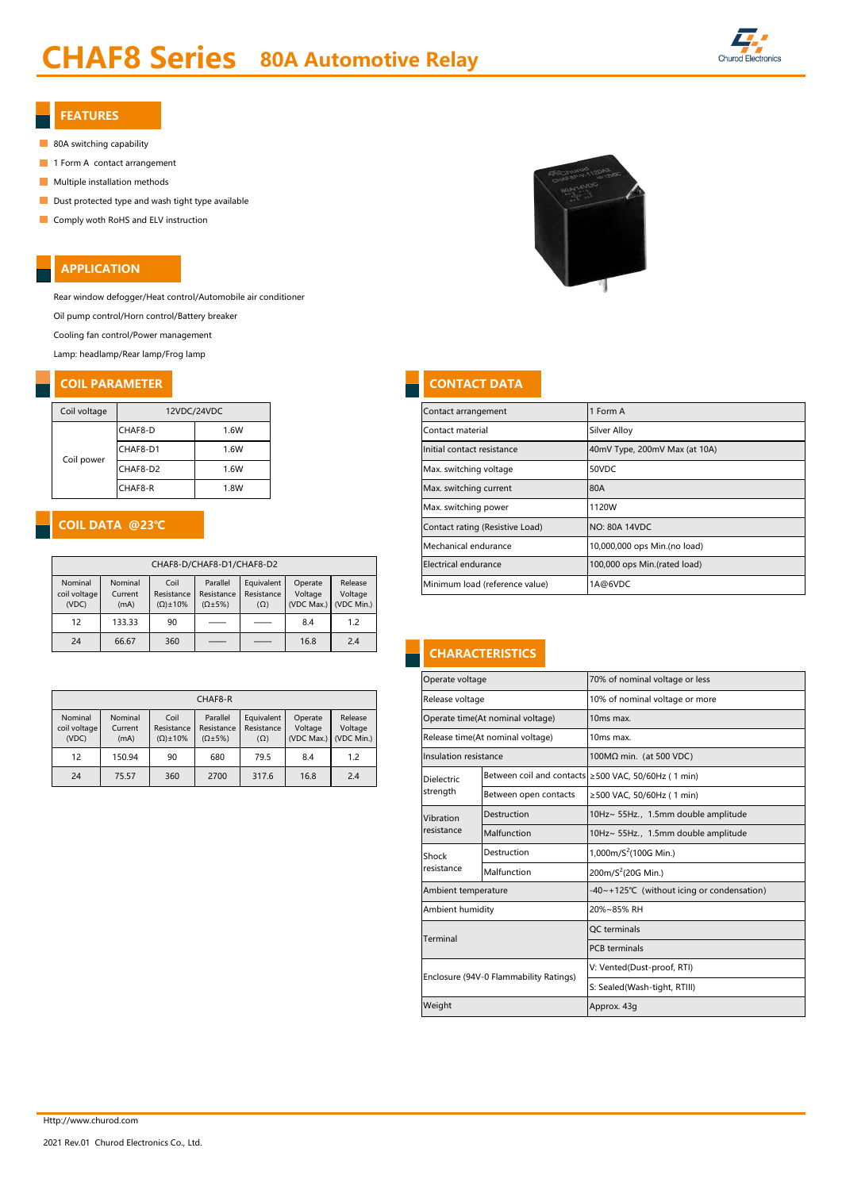# CHAF8 Series 80A Automotive Relay



#### FEATURES

- 80A switching capability
- 1 Form A contact arrangement
- **Multiple installation methods**
- Dust protected type and wash tight type available
- **Comply woth RoHS and ELV instruction**

## APPLICATION

Rear window defogger/Heat control/Automobile air conditioner

Oil pump control/Horn control/Battery breaker

Cooling fan control/Power management

Lamp: headlamp/Rear lamp/Frog lamp

# **COIL PARAMETER CONTACT DATA**

| Coil voltage | 12VDC/24VDC |      |  |  |  |
|--------------|-------------|------|--|--|--|
|              | CHAF8-D     | 1.6W |  |  |  |
| Coil power   | CHAF8-D1    | 1.6W |  |  |  |
|              | CHAF8-D2    | 1.6W |  |  |  |
|              | CHAF8-R     | 1.8W |  |  |  |

## COIL DATA @23℃

|                                  | CHAF8-D/CHAF8-D1/CHAF8-D2  |                                                                                           |  |                                        |                                  |                                  |  |  |  |  |  |  |
|----------------------------------|----------------------------|-------------------------------------------------------------------------------------------|--|----------------------------------------|----------------------------------|----------------------------------|--|--|--|--|--|--|
| Nominal<br>coil voltage<br>(VDC) | Nominal<br>Current<br>(mA) | Coil<br>Parallel<br>Resistance<br>Resistance<br>$(\Omega) \pm 10\%$<br>$(\Omega \pm 5\%)$ |  | Equivalent<br>Resistance<br>$(\Omega)$ | Operate<br>Voltage<br>(VDC Max.) | Release<br>Voltage<br>(VDC Min.) |  |  |  |  |  |  |
| 12                               | 133.33                     | 90                                                                                        |  |                                        | 8.4                              | 1.2                              |  |  |  |  |  |  |
| 24                               | 66.67                      | 360                                                                                       |  |                                        | 16.8                             | 2.4                              |  |  |  |  |  |  |

|  | CHAF8-R                 |                    |                     |                        |                          |                                          |                       |  | Release voltage       |                                  | 10% of nominal voltage or                           |
|--|-------------------------|--------------------|---------------------|------------------------|--------------------------|------------------------------------------|-----------------------|--|-----------------------|----------------------------------|-----------------------------------------------------|
|  | Nominal<br>coil voltage | Nominal<br>Current | Coil<br>Resistance  | Parallel<br>Resistance | Equivalent<br>Resistance | Release<br>Operate<br>Voltage<br>Voltage |                       |  |                       | Operate time(At nominal voltage) | 10 <sub>ms</sub> max.                               |
|  | (VDC)                   | (mA)               | $(\Omega) \pm 10\%$ | $(\Omega \pm 5\%)$     | $(\Omega)$               |                                          | (VDC Max.) (VDC Min.) |  |                       | Release time(At nominal voltage) | 10ms max.                                           |
|  | 12                      | 150.94             | 90                  | 680                    | 79.5                     | 8.4                                      | 1.2                   |  | Insulation resistance |                                  | $100M\Omega$ min. (at 500 VDC)                      |
|  | 24                      | 75.57              | 360                 | 2700                   | 317.6                    | 16.8                                     | 2.4                   |  | Dielectric            |                                  | Between coil and contacts ≥500 VAC, 50/60Hz (1 min) |



| 12VDC/24VDC                                                                                                                      |  |                  |                                |         |                                 | Contact arrangement           | 1 Form A                     |  |  |
|----------------------------------------------------------------------------------------------------------------------------------|--|------------------|--------------------------------|---------|---------------------------------|-------------------------------|------------------------------|--|--|
| CHAF8-D<br>1.6W                                                                                                                  |  |                  |                                |         | Contact material                | Silver Alloy                  |                              |  |  |
| 1.6W<br>CHAF8-D1                                                                                                                 |  |                  |                                |         | Initial contact resistance      | 40mV Type, 200mV Max (at 10A) |                              |  |  |
| CHAF8-D2<br>.6W                                                                                                                  |  |                  |                                |         | Max. switching voltage          | 50VDC                         |                              |  |  |
| CHAF8-R<br>1.8W                                                                                                                  |  |                  |                                |         | Max. switching current          | 80A                           |                              |  |  |
|                                                                                                                                  |  |                  |                                |         |                                 | Max. switching power          | 1120W                        |  |  |
| @23°C                                                                                                                            |  |                  |                                |         | Contact rating (Resistive Load) | <b>NO: 80A 14VDC</b>          |                              |  |  |
|                                                                                                                                  |  |                  |                                |         | Mechanical endurance            | 10,000,000 ops Min.(no load)  |                              |  |  |
| CHAF8-D/CHAF8-D1/CHAF8-D2                                                                                                        |  |                  |                                |         |                                 | Electrical endurance          | 100,000 ops Min.(rated load) |  |  |
| Coil<br>Operate<br>Equivalent<br>ninal<br>Parallel<br>Release<br>Porictance Porictance Porictance<br>$\left  \right $<br>$rrnn+$ |  | $\text{Valtone}$ | Minimum load (reference value) | 1A@6VDC |                                 |                               |                              |  |  |

# **CHARACTERISTICS**

|                        |                          |                    |                    |                              | Operate voltage       |                                        | 70% of nominal voltage or less                      |  |  |
|------------------------|--------------------------|--------------------|--------------------|------------------------------|-----------------------|----------------------------------------|-----------------------------------------------------|--|--|
| CHAF8-R                |                          |                    |                    |                              | Release voltage       |                                        | 10% of nominal voltage or more                      |  |  |
| Parallel<br>Resistance | Equivalent<br>Resistance | Operate<br>Voltage | Release<br>Voltage |                              |                       | Operate time(At nominal voltage)       | 10 <sub>ms</sub> max.                               |  |  |
| $(\Omega \pm 5\%)$     | $(\Omega)$               | (VDC Max.)         | (VDC Min.)         |                              |                       | Release time(At nominal voltage)       | 10ms max.                                           |  |  |
| 680                    | 79.5                     | 8.4                | 1.2                |                              | Insulation resistance |                                        | 100MΩ min. (at 500 VDC)                             |  |  |
| 2700                   | 317.6                    | 16.8               | 2.4                |                              | <b>Dielectric</b>     |                                        | Between coil and contacts ≥500 VAC, 50/60Hz (1 min) |  |  |
|                        | strength                 |                    |                    |                              |                       | Between open contacts                  | ≥500 VAC, 50/60Hz (1 min)                           |  |  |
|                        |                          |                    |                    |                              | Vibration             | Destruction                            | 10Hz~ 55Hz., 1.5mm double amplitude                 |  |  |
|                        |                          |                    |                    |                              | resistance            | Malfunction                            | 10Hz~ 55Hz., 1.5mm double amplitude                 |  |  |
|                        |                          |                    |                    |                              | Shock                 | Destruction                            | 1,000m/ $S^2$ (100G Min.)                           |  |  |
|                        |                          |                    |                    |                              | resistance            | Malfunction                            | 200m/S <sup>2</sup> (20G Min.)                      |  |  |
|                        |                          |                    |                    |                              | Ambient temperature   |                                        | -40~+125℃ (without icing or condensation)           |  |  |
|                        |                          |                    |                    |                              | Ambient humidity      |                                        | 20%~85% RH                                          |  |  |
|                        |                          |                    |                    |                              | Terminal              |                                        | <b>OC</b> terminals                                 |  |  |
|                        |                          |                    |                    |                              |                       |                                        | <b>PCB</b> terminals                                |  |  |
|                        |                          |                    |                    |                              |                       | Enclosure (94V-0 Flammability Ratings) | V: Vented(Dust-proof, RTI)                          |  |  |
|                        |                          |                    |                    | S: Sealed(Wash-tight, RTIII) |                       |                                        |                                                     |  |  |
|                        |                          |                    |                    |                              | Weight                |                                        | Approx. 43g                                         |  |  |
|                        |                          |                    |                    |                              |                       |                                        |                                                     |  |  |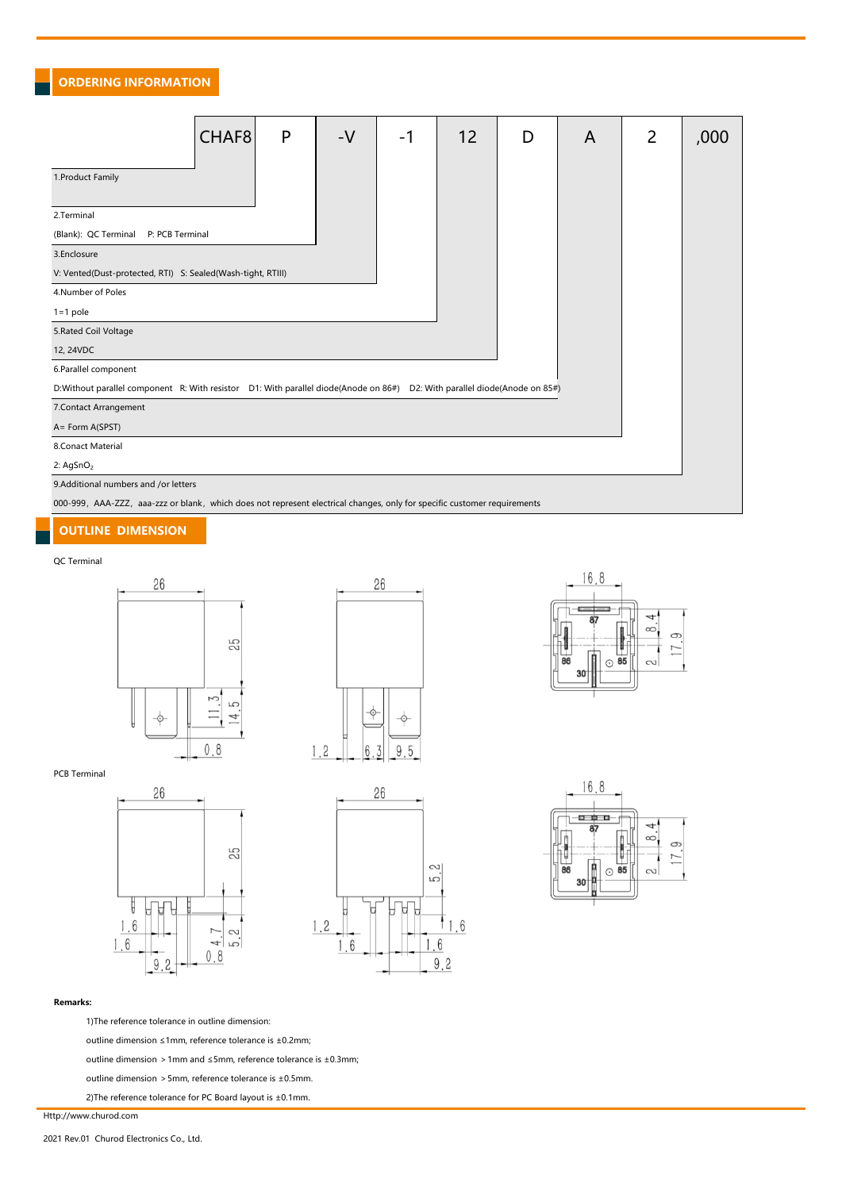ORDERING INFORMATION

|                                                                                                                           | CHAF <sub>8</sub> | P | $-V$ | -1 | 12 | D | A | 2 | ,000 |  |  |
|---------------------------------------------------------------------------------------------------------------------------|-------------------|---|------|----|----|---|---|---|------|--|--|
| 1. Product Family                                                                                                         |                   |   |      |    |    |   |   |   |      |  |  |
| 2.Terminal                                                                                                                |                   |   |      |    |    |   |   |   |      |  |  |
| (Blank): QC Terminal<br>P: PCB Terminal                                                                                   |                   |   |      |    |    |   |   |   |      |  |  |
| 3.Enclosure                                                                                                               |                   |   |      |    |    |   |   |   |      |  |  |
| V: Vented(Dust-protected, RTI) S: Sealed(Wash-tight, RTIII)                                                               |                   |   |      |    |    |   |   |   |      |  |  |
| 4.Number of Poles                                                                                                         |                   |   |      |    |    |   |   |   |      |  |  |
| $1 = 1$ pole                                                                                                              |                   |   |      |    |    |   |   |   |      |  |  |
| 5. Rated Coil Voltage                                                                                                     |                   |   |      |    |    |   |   |   |      |  |  |
| 12, 24VDC                                                                                                                 |                   |   |      |    |    |   |   |   |      |  |  |
| 6.Parallel component                                                                                                      |                   |   |      |    |    |   |   |   |      |  |  |
| D:Without parallel component R: With resistor D1: With parallel diode(Anode on 86#) D2: With parallel diode(Anode on 85#) |                   |   |      |    |    |   |   |   |      |  |  |
| 7. Contact Arrangement                                                                                                    |                   |   |      |    |    |   |   |   |      |  |  |
| A= Form A(SPST)                                                                                                           |                   |   |      |    |    |   |   |   |      |  |  |
| 8.Conact Material                                                                                                         |                   |   |      |    |    |   |   |   |      |  |  |
| 2: AgSnO <sub>2</sub>                                                                                                     |                   |   |      |    |    |   |   |   |      |  |  |
| 9.Additional numbers and /or letters                                                                                      |                   |   |      |    |    |   |   |   |      |  |  |
| 000-999, AAA-ZZZ, aaa-zzz or blank, which does not represent electrical changes, only for specific customer requirements  |                   |   |      |    |    |   |   |   |      |  |  |

## OUTLINE DIMENSION

#### QC Terminal















#### Remarks:

1)The reference tolerance in outline dimension:

outline dimension ≤1mm, reference tolerance is ±0.2mm;

outline dimension >1mm and ≤5mm, reference tolerance is ±0.3mm;

outline dimension >5mm, reference tolerance is ±0.5mm.

2)The reference tolerance for PC Board layout is ±0.1mm.

Http://www.churod.com